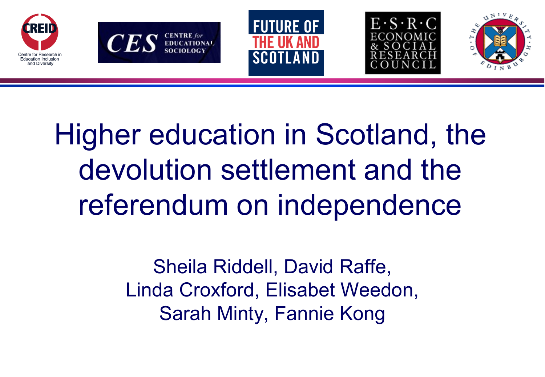









Higher education in Scotland, the devolution settlement and the referendum on independence

> Sheila Riddell, David Raffe, Linda Croxford, Elisabet Weedon, Sarah Minty, Fannie Kong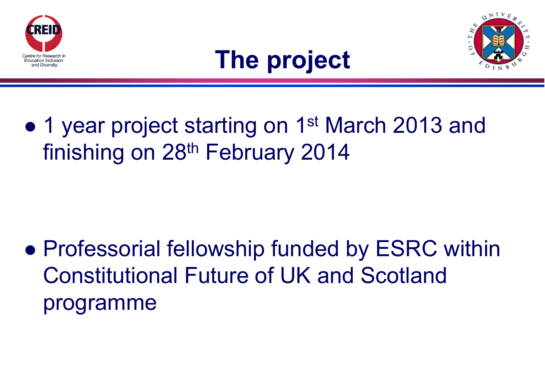





• 1 year project starting on 1<sup>st</sup> March 2013 and finishing on 28<sup>th</sup> February 2014

• Professorial fellowship funded by ESRC within Constitutional Future of UK and Scotland programme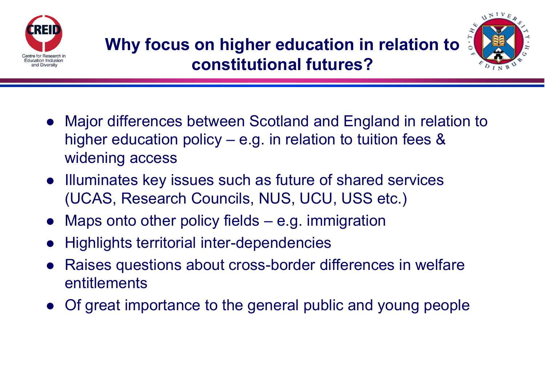



- Major differences between Scotland and England in relation to higher education policy – e.g. in relation to tuition fees & widening access
- Illuminates key issues such as future of shared services (UCAS, Research Councils, NUS, UCU, USS etc.)
- Maps onto other policy fields e.g. immigration
- Highlights territorial inter-dependencies
- Raises questions about cross-border differences in welfare entitlements
- Of great importance to the general public and young people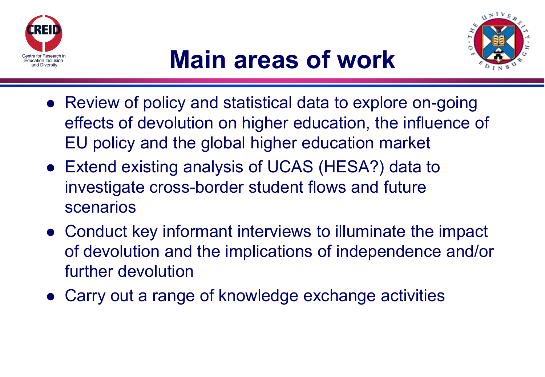



- Review of policy and statistical data to explore on-going effects of devolution on higher education, the influence of EU policy and the global higher education market
- Extend existing analysis of UCAS (HESA?) data to investigate cross-border student flows and future scenarios
- Conduct key informant interviews to illuminate the impact of devolution and the implications of independence and/or further devolution
- Carry out a range of knowledge exchange activities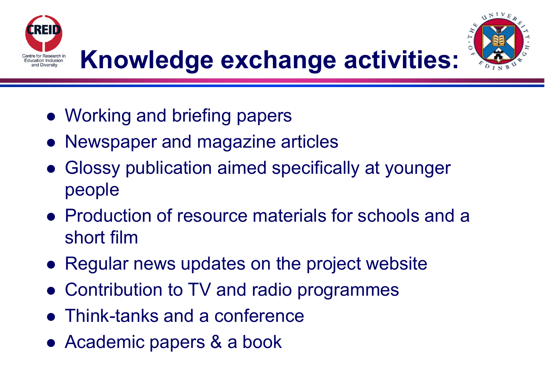



## **Knowledge exchange activities:**

- Working and briefing papers
- Newspaper and magazine articles
- Glossy publication aimed specifically at younger people
- Production of resource materials for schools and a short film
- Regular news updates on the project website
- Contribution to TV and radio programmes
- Think-tanks and a conference
- Academic papers & a book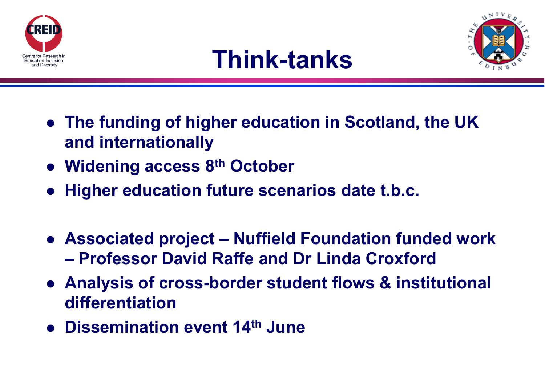





- **The funding of higher education in Scotland, the UK and internationally**
- **Widening access 8th October**
- **Higher education future scenarios date t.b.c.**
- **Associated project – Nuffield Foundation funded work – Professor David Raffe and Dr Linda Croxford**
- **Analysis of cross-border student flows & institutional differentiation**
- **Dissemination event 14th June**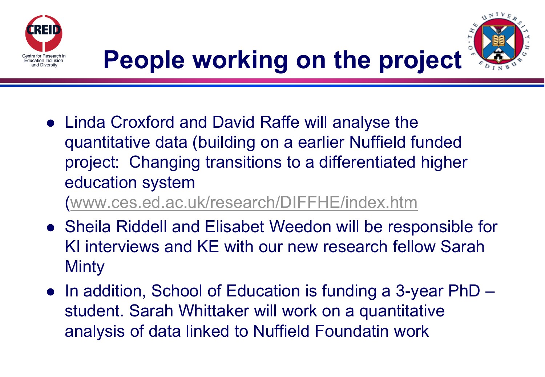



## **People working on the project**

 Linda Croxford and David Raffe will analyse the quantitative data (building on a earlier Nuffield funded project: Changing transitions to a differentiated higher education system

([www.ces.ed.ac.uk/research/DIFFHE/index.htm](http://www.ces.ed.ac.uk/research/DIFFHE/index.htm)

- Sheila Riddell and Elisabet Weedon will be responsible for KI interviews and KE with our new research fellow Sarah Minty
- In addition, School of Education is funding a 3-year PhD student. Sarah Whittaker will work on a quantitative analysis of data linked to Nuffield Foundatin work